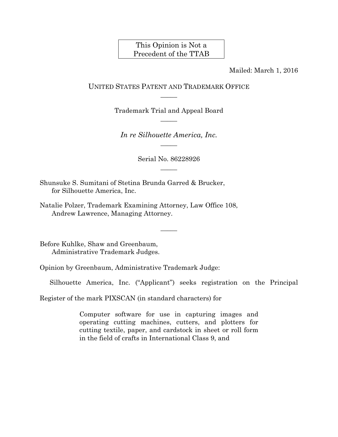# This Opinion is Not a Precedent of the TTAB

Mailed: March 1, 2016

### UNITED STATES PATENT AND TRADEMARK OFFICE  $\overline{\phantom{a}}$

Trademark Trial and Appeal Board  $\overline{\phantom{a}}$ 

*In re Silhouette America, Inc.*   $\overline{\phantom{a}}$ 

> Serial No. 86228926  $\overline{\phantom{a}}$

> > $\overline{\phantom{a}}$

Shunsuke S. Sumitani of Stetina Brunda Garred & Brucker, for Silhouette America, Inc.

Natalie Polzer, Trademark Examining Attorney, Law Office 108, Andrew Lawrence, Managing Attorney.

Before Kuhlke, Shaw and Greenbaum, Administrative Trademark Judges.

Opinion by Greenbaum, Administrative Trademark Judge:

Silhouette America, Inc. ("Applicant") seeks registration on the Principal

Register of the mark PIXSCAN (in standard characters) for

Computer software for use in capturing images and operating cutting machines, cutters, and plotters for cutting textile, paper, and cardstock in sheet or roll form in the field of crafts in International Class 9, and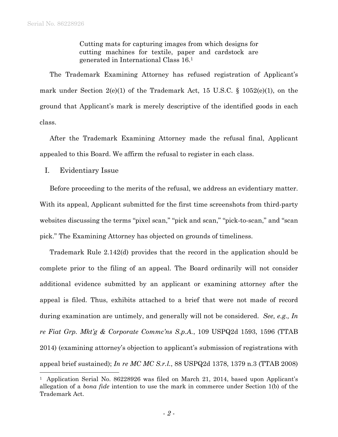Cutting mats for capturing images from which designs for cutting machines for textile, paper and cardstock are generated in International Class 16.1

The Trademark Examining Attorney has refused registration of Applicant's mark under Section 2(e)(1) of the Trademark Act, 15 U.S.C. § 1052(e)(1), on the ground that Applicant's mark is merely descriptive of the identified goods in each class.

After the Trademark Examining Attorney made the refusal final, Applicant appealed to this Board. We affirm the refusal to register in each class.

I. Evidentiary Issue

l

Before proceeding to the merits of the refusal, we address an evidentiary matter. With its appeal, Applicant submitted for the first time screenshots from third-party websites discussing the terms "pixel scan," "pick and scan," "pick-to-scan," and "scan pick." The Examining Attorney has objected on grounds of timeliness.

Trademark Rule 2.142(d) provides that the record in the application should be complete prior to the filing of an appeal. The Board ordinarily will not consider additional evidence submitted by an applicant or examining attorney after the appeal is filed. Thus, exhibits attached to a brief that were not made of record during examination are untimely, and generally will not be considered. *See, e.g., In re Fiat Grp. Mkt'g & Corporate Commc'ns S.p.A.*, 109 USPQ2d 1593, 1596 (TTAB 2014) (examining attorney's objection to applicant's submission of registrations with appeal brief sustained); *In re MC MC S.r.l.*, 88 USPQ2d 1378, 1379 n.3 (TTAB 2008)

<sup>&</sup>lt;sup>1</sup> Application Serial No. 86228926 was filed on March 21, 2014, based upon Applicant's allegation of a *bona fide* intention to use the mark in commerce under Section 1(b) of the Trademark Act.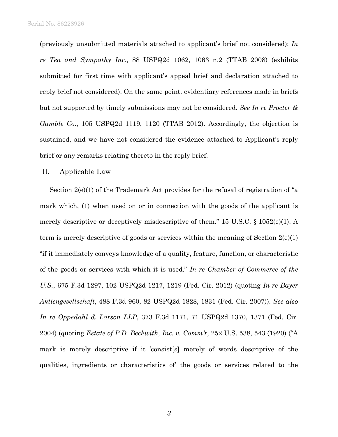(previously unsubmitted materials attached to applicant's brief not considered); *In re Tea and Sympathy Inc.*, 88 USPQ2d 1062, 1063 n.2 (TTAB 2008) (exhibits submitted for first time with applicant's appeal brief and declaration attached to reply brief not considered). On the same point, evidentiary references made in briefs but not supported by timely submissions may not be considered. *See In re Procter & Gamble Co.*, 105 USPQ2d 1119, 1120 (TTAB 2012). Accordingly, the objection is sustained, and we have not considered the evidence attached to Applicant's reply brief or any remarks relating thereto in the reply brief.

#### II. Applicable Law

Section 2(e)(1) of the Trademark Act provides for the refusal of registration of "a mark which, (1) when used on or in connection with the goods of the applicant is merely descriptive or deceptively misdescriptive of them." 15 U.S.C. § 1052(e)(1). A term is merely descriptive of goods or services within the meaning of Section 2(e)(1) "if it immediately conveys knowledge of a quality, feature, function, or characteristic of the goods or services with which it is used." *In re Chamber of Commerce of the U.S.*, 675 F.3d 1297, 102 USPQ2d 1217, 1219 (Fed. Cir. 2012) (quoting *In re Bayer Aktiengesellschaft*, 488 F.3d 960, 82 USPQ2d 1828, 1831 (Fed. Cir. 2007)). *See also In re Oppedahl & Larson LLP*, 373 F.3d 1171, 71 USPQ2d 1370, 1371 (Fed. Cir. 2004) (quoting *Estate of P.D. Beckwith, Inc. v. Comm'r*, 252 U.S. 538, 543 (1920) ("A mark is merely descriptive if it 'consist[s] merely of words descriptive of the qualities, ingredients or characteristics of' the goods or services related to the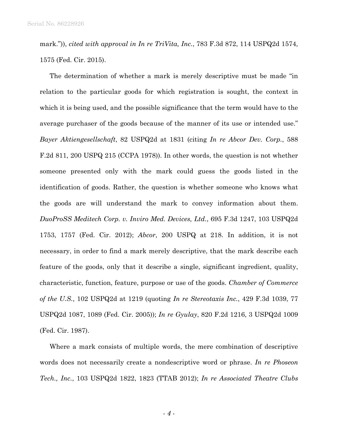mark.")), *cited with approval in In re TriVita, Inc.*, 783 F.3d 872, 114 USPQ2d 1574, 1575 (Fed. Cir. 2015).

The determination of whether a mark is merely descriptive must be made "in relation to the particular goods for which registration is sought, the context in which it is being used, and the possible significance that the term would have to the average purchaser of the goods because of the manner of its use or intended use." *Bayer Aktiengesellschaft*, 82 USPQ2d at 1831 (citing *In re Abcor Dev. Corp.*, 588 F.2d 811, 200 USPQ 215 (CCPA 1978)). In other words, the question is not whether someone presented only with the mark could guess the goods listed in the identification of goods. Rather, the question is whether someone who knows what the goods are will understand the mark to convey information about them. *DuoProSS Meditech Corp. v. Inviro Med. Devices, Ltd*., 695 F.3d 1247, 103 USPQ2d 1753, 1757 (Fed. Cir. 2012); *Abcor*, 200 USPQ at 218. In addition, it is not necessary, in order to find a mark merely descriptive, that the mark describe each feature of the goods, only that it describe a single, significant ingredient, quality, characteristic, function, feature, purpose or use of the goods. *Chamber of Commerce of the U.S.*, 102 USPQ2d at 1219 (quoting *In re Stereotaxis Inc.*, 429 F.3d 1039, 77 USPQ2d 1087, 1089 (Fed. Cir. 2005)); *In re Gyulay*, 820 F.2d 1216, 3 USPQ2d 1009 (Fed. Cir. 1987).

Where a mark consists of multiple words, the mere combination of descriptive words does not necessarily create a nondescriptive word or phrase. *In re Phoseon Tech., Inc.*, 103 USPQ2d 1822, 1823 (TTAB 2012); *In re Associated Theatre Clubs* 

- *4* -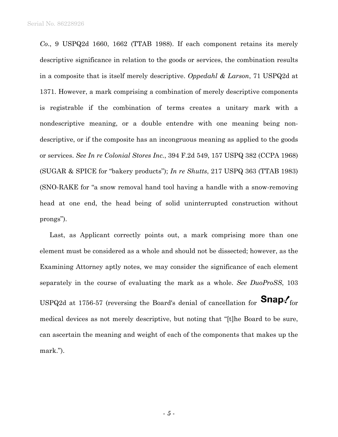*Co*., 9 USPQ2d 1660, 1662 (TTAB 1988). If each component retains its merely descriptive significance in relation to the goods or services, the combination results in a composite that is itself merely descriptive. *Oppedahl & Larson*, 71 USPQ2d at 1371. However, a mark comprising a combination of merely descriptive components is registrable if the combination of terms creates a unitary mark with a nondescriptive meaning, or a double entendre with one meaning being nondescriptive, or if the composite has an incongruous meaning as applied to the goods or services. *See In re Colonial Stores Inc.*, 394 F.2d 549, 157 USPQ 382 (CCPA 1968) (SUGAR & SPICE for "bakery products"); *In re Shutts*, 217 USPQ 363 (TTAB 1983) (SNO-RAKE for "a snow removal hand tool having a handle with a snow-removing head at one end, the head being of solid uninterrupted construction without prongs").

Last, as Applicant correctly points out, a mark comprising more than one element must be considered as a whole and should not be dissected; however, as the Examining Attorney aptly notes, we may consider the significance of each element separately in the course of evaluating the mark as a whole. *See DuoProSS*, 103 USPQ2d at 1756-57 (reversing the Board's denial of cancellation for  $\text{Snap.}'$  for medical devices as not merely descriptive, but noting that "[t]he Board to be sure, can ascertain the meaning and weight of each of the components that makes up the mark.").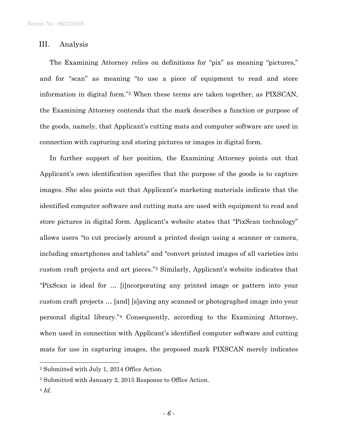### III. Analysis

The Examining Attorney relies on definitions for "pix" as meaning "pictures," and for "scan" as meaning "to use a piece of equipment to read and store information in digital form."2 When these terms are taken together, as PIXSCAN, the Examining Attorney contends that the mark describes a function or purpose of the goods, namely, that Applicant's cutting mats and computer software are used in connection with capturing and storing pictures or images in digital form.

In further support of her position, the Examining Attorney points out that Applicant's own identification specifies that the purpose of the goods is to capture images. She also points out that Applicant's marketing materials indicate that the identified computer software and cutting mats are used with equipment to read and store pictures in digital form. Applicant's website states that "PixScan technology" allows users "to cut precisely around a printed design using a scanner or camera, including smartphones and tablets" and "convert printed images of all varieties into custom craft projects and art pieces."3 Similarly, Applicant's website indicates that "PixScan is ideal for … [i]ncorporating any printed image or pattern into your custom craft projects … [and] [s]aving any scanned or photographed image into your personal digital library."4 Consequently, according to the Examining Attorney, when used in connection with Applicant's identified computer software and cutting mats for use in capturing images, the proposed mark PIXSCAN merely indicates

<sup>4</sup> *Id*.

l

<sup>2</sup> Submitted with July 1, 2014 Office Action.

<sup>3</sup> Submitted with January 2, 2015 Response to Office Action.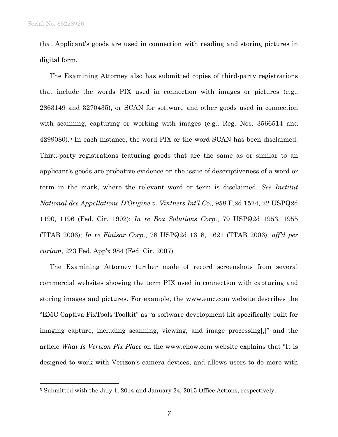$\overline{a}$ 

that Applicant's goods are used in connection with reading and storing pictures in digital form.

The Examining Attorney also has submitted copies of third-party registrations that include the words PIX used in connection with images or pictures (e.g., 2863149 and 3270435), or SCAN for software and other goods used in connection with scanning, capturing or working with images (e.g., Reg. Nos. 3566514 and 4299080).5 In each instance, the word PIX or the word SCAN has been disclaimed. Third-party registrations featuring goods that are the same as or similar to an applicant's goods are probative evidence on the issue of descriptiveness of a word or term in the mark, where the relevant word or term is disclaimed. *See Institut National des Appellations D'Origine v. Vintners Int'l Co.*, 958 F.2d 1574, 22 USPQ2d 1190, 1196 (Fed. Cir. 1992); *In re Box Solutions Corp.*, 79 USPQ2d 1953, 1955 (TTAB 2006); *In re Finisar Corp.*, 78 USPQ2d 1618, 1621 (TTAB 2006), *aff'd per curiam*, 223 Fed. App'x 984 (Fed. Cir. 2007).

The Examining Attorney further made of record screenshots from several commercial websites showing the term PIX used in connection with capturing and storing images and pictures. For example, the www.emc.com website describes the "EMC Captiva PixTools Toolkit" as "a software development kit specifically built for imaging capture, including scanning, viewing, and image processing[,]" and the article *What Is Verizon Pix Place* on the www.ehow.com website explains that "It is designed to work with Verizon's camera devices, and allows users to do more with

<sup>5</sup> Submitted with the July 1, 2014 and January 24, 2015 Office Actions, respectively.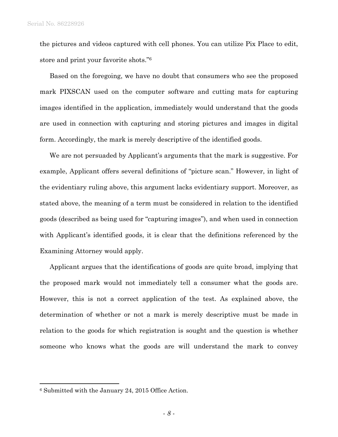the pictures and videos captured with cell phones. You can utilize Pix Place to edit, store and print your favorite shots."6

Based on the foregoing, we have no doubt that consumers who see the proposed mark PIXSCAN used on the computer software and cutting mats for capturing images identified in the application, immediately would understand that the goods are used in connection with capturing and storing pictures and images in digital form. Accordingly, the mark is merely descriptive of the identified goods.

We are not persuaded by Applicant's arguments that the mark is suggestive. For example, Applicant offers several definitions of "picture scan." However, in light of the evidentiary ruling above, this argument lacks evidentiary support. Moreover, as stated above, the meaning of a term must be considered in relation to the identified goods (described as being used for "capturing images"), and when used in connection with Applicant's identified goods, it is clear that the definitions referenced by the Examining Attorney would apply.

Applicant argues that the identifications of goods are quite broad, implying that the proposed mark would not immediately tell a consumer what the goods are. However, this is not a correct application of the test. As explained above, the determination of whether or not a mark is merely descriptive must be made in relation to the goods for which registration is sought and the question is whether someone who knows what the goods are will understand the mark to convey

 $\overline{a}$ 

<sup>6</sup> Submitted with the January 24, 2015 Office Action.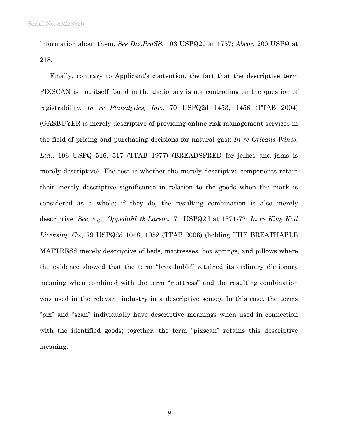information about them. *See DuoProSS,* 103 USPQ2d at 1757; *Abcor*, 200 USPQ at 218.

Finally, contrary to Applicant's contention, the fact that the descriptive term PIXSCAN is not itself found in the dictionary is not controlling on the question of registrability. *In re Planalytics, Inc*., 70 USPQ2d 1453, 1456 (TTAB 2004) (GASBUYER is merely descriptive of providing online risk management services in the field of pricing and purchasing decisions for natural gas); *In re Orleans Wines, Ltd*., 196 USPQ 516, 517 (TTAB 1977) (BREADSPRED for jellies and jams is merely descriptive). The test is whether the merely descriptive components retain their merely descriptive significance in relation to the goods when the mark is considered as a whole; if they do, the resulting combination is also merely descriptive. *See, e.g., Oppedahl & Larson*, 71 USPQ2d at 1371-72; *In re King Koil Licensing Co.*, 79 USPQ2d 1048, 1052 (TTAB 2006) (holding THE BREATHABLE MATTRESS merely descriptive of beds, mattresses, box springs, and pillows where the evidence showed that the term "breathable" retained its ordinary dictionary meaning when combined with the term "mattress" and the resulting combination was used in the relevant industry in a descriptive sense). In this case, the terms "pix" and "scan" individually have descriptive meanings when used in connection with the identified goods; together, the term "pixscan" retains this descriptive meaning.